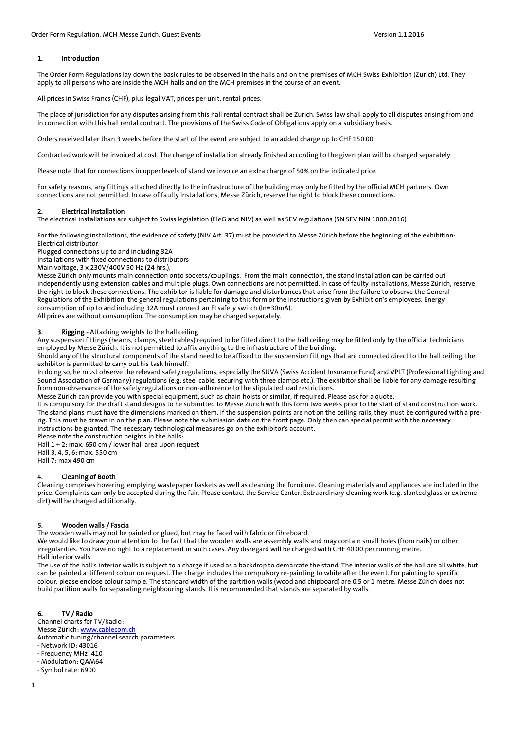## 1. Introduction

The Order Form Regulations lay down the basic rules to be observed in the halls and on the premises of MCH Swiss Exhibition (Zurich) Ltd. They apply to all persons who are inside the MCH halls and on the MCH premises in the course of an event.

All prices in Swiss Francs (CHF), plus legal VAT, prices per unit, rental prices.

The place of jurisdiction for any disputes arising from this hall rental contract shall be Zurich. Swiss law shall apply to all disputes arising from and in connection with this hall rental contract. The provisions of the Swiss Code of Obligations apply on a subsidiary basis.

Orders received later than 3 weeks before the start of the event are subject to an added charge up to CHF 150.00

Contracted work will be invoiced at cost. The change of installation already finished according to the given plan will be charged separately

Please note that for connections in upper levels of stand we invoice an extra charge of 50% on the indicated price.

For safety reasons, any fittings attached directly to the infrastructure of the building may only be fitted by the official MCH partners. Own connections are not permitted. In case of faulty installations, Messe Zürich, reserve the right to block these connections.

## 2. Electrical Installation

The electrical installations are subject to Swiss legislation (EleG and NIV) as well as SEV regulations (SN SEV NIN 1000:2016)

For the following installations, the evidence of safety (NIV Art. 37) must be provided to Messe Zürich before the beginning of the exhibition: Electrical distributor

Plugged connections up to and including 32A

Installations with fixed connections to distributors

Main voltage, 3 x 230V/400V 50 Hz (24 hrs.).

Messe Zürich only mounts main connection onto sockets/couplings. From the main connection, the stand installation can be carried out independently using extension cables and multiple plugs. Own connections are not permitted. In case of faulty installations, Messe Zürich, reserve the right to block these connections. The exhibitor is liable for damage and disturbances that arise from the failure to observe the General Regulations of the Exhibition, the general regulations pertaining to this form or the instructions given by Exhibition's employees. Energy consumption of up to and including 32A must connect an FI safety switch (In=30mA).

All prices are without consumption. The consumption may be charged separately.

# 3. Rigging - Attaching weights to the hall ceiling

Any suspension fittings (beams, clamps, steel cables) required to be fitted direct to the hall ceiling may be fitted only by the official technicians employed by Messe Zürich. It is not permitted to affix anything to the infrastructure of the building.

Should any of the structural components of the stand need to be affixed to the suspension fittings that are connected direct to the hall ceiling, the exhibitor is permitted to carry out his task himself.

In doing so, he must observe the relevant safety regulations, especially the SUVA (Swiss Accident Insurance Fund) and VPLT (Professional Lighting and Sound Association of Germany) regulations (e.g. steel cable, securing with three clamps etc.). The exhibitor shall be liable for any damage resulting from non-observance of the safety regulations or non-adherence to the stipulated load restrictions.

Messe Zürich can provide you with special equipment, such as chain hoists or similar, if required. Please ask for a quote.

It is compulsory for the draft stand designs to be submitted to Messe Zürich with this form two weeks prior to the start of stand construction work. The stand plans must have the dimensions marked on them. If the suspension points are not on the ceiling rails, they must be configured with a prerig. This must be drawn in on the plan. Please note the submission date on the front page. Only then can special permit with the necessary instructions be granted. The necessary technological measures go on the exhibitor's account.

Please note the construction heights in the halls: Hall 1 + 2: max. 650 cm / lower hall area upon request

Hall 3, 4, 5, 6: max. 550 cm

Hall 7: max 490 cm

## 4. Cleaning of Booth

Cleaning comprises hovering, emptying wastepaper baskets as well as cleaning the furniture. Cleaning materials and appliances are included in the price. Complaints can only be accepted during the fair. Please contact the Service Center. Extraordinary cleaning work (e.g. slanted glass or extreme dirt) will be charged additionally.

## 5. Wooden walls / Fascia

The wooden walls may not be painted or glued, but may be faced with fabric or fibreboard.

We would like to draw your attention to the fact that the wooden walls are assembly walls and may contain small holes (from nails) or other irregularities. You have no right to a replacement in such cases. Any disregard will be charged with CHF 40.00 per running metre. Hall interior walls

The use of the hall's interior walls is subject to a charge if used as a backdrop to demarcate the stand. The interior walls of the hall are all white, but can be painted a different colour on request. The charge includes the compulsory re-painting to white after the event. For painting to specific colour, please enclose colour sample. The standard width of the partition walls (wood and chipboard) are 0.5 or 1 metre. Messe Zürich does not build partition walls for separating neighbouring stands. It is recommended that stands are separated by walls.

## 6. TV / Radio

Channel charts for TV/Radio: Messe Zürich: www.cablecom.ch Automatic tuning/channel search parameters - Network ID: 43016 - Frequency MHz: 410 - Modulation: QAM64 - Symbol rate: 6900